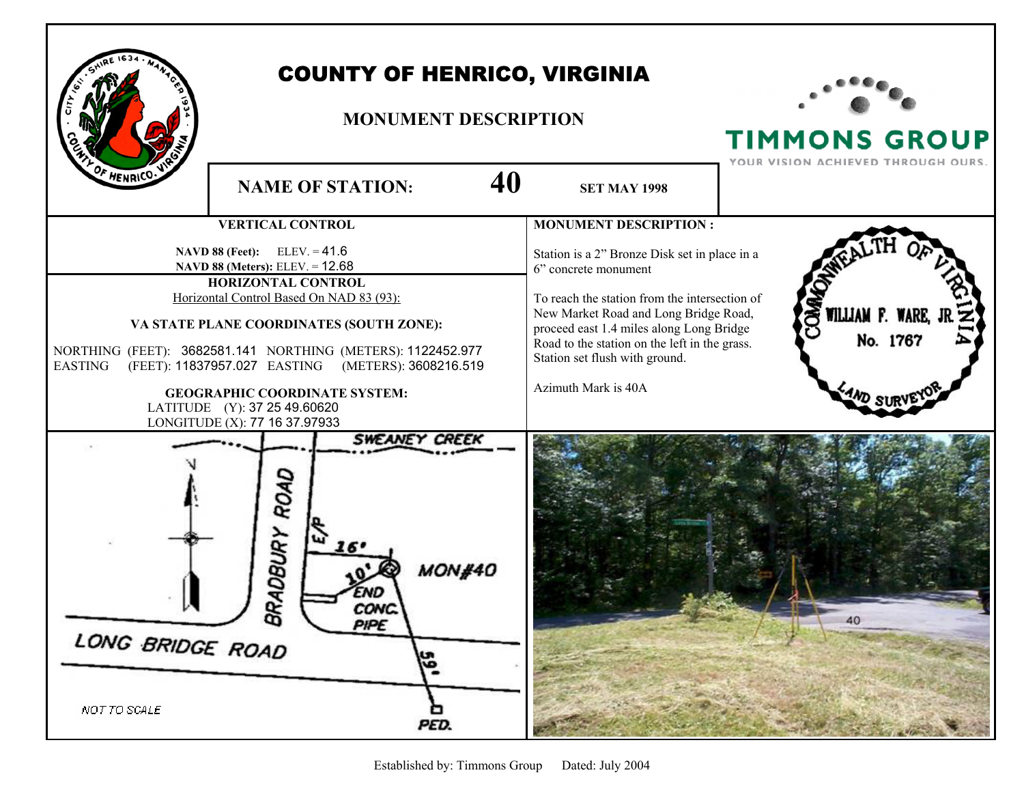